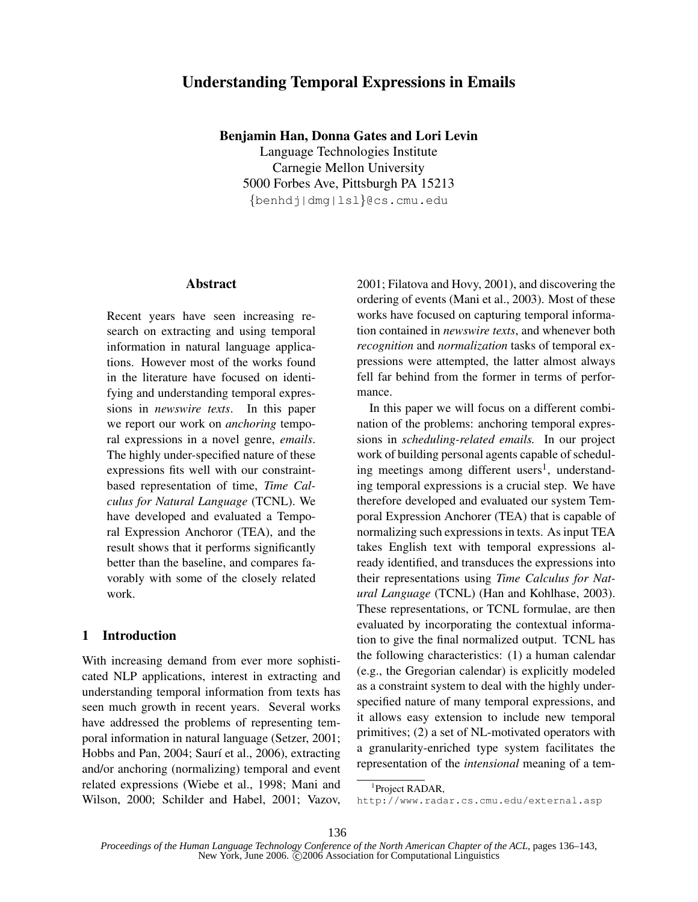# Understanding Temporal Expressions in Emails

Benjamin Han, Donna Gates and Lori Levin

Language Technologies Institute Carnegie Mellon University 5000 Forbes Ave, Pittsburgh PA 15213 {benhdj|dmg|lsl}@cs.cmu.edu

#### Abstract

Recent years have seen increasing research on extracting and using temporal information in natural language applications. However most of the works found in the literature have focused on identifying and understanding temporal expressions in *newswire texts*. In this paper we report our work on *anchoring* temporal expressions in a novel genre, *emails*. The highly under-specified nature of these expressions fits well with our constraintbased representation of time, *Time Calculus for Natural Language* (TCNL). We have developed and evaluated a Temporal Expression Anchoror (TEA), and the result shows that it performs significantly better than the baseline, and compares favorably with some of the closely related work.

# 1 Introduction

With increasing demand from ever more sophisticated NLP applications, interest in extracting and understanding temporal information from texts has seen much growth in recent years. Several works have addressed the problems of representing temporal information in natural language (Setzer, 2001; Hobbs and Pan, 2004; Saurí et al., 2006), extracting and/or anchoring (normalizing) temporal and event related expressions (Wiebe et al., 1998; Mani and Wilson, 2000; Schilder and Habel, 2001; Vazov, 2001; Filatova and Hovy, 2001), and discovering the ordering of events (Mani et al., 2003). Most of these works have focused on capturing temporal information contained in *newswire texts*, and whenever both *recognition* and *normalization* tasks of temporal expressions were attempted, the latter almost always fell far behind from the former in terms of performance.

In this paper we will focus on a different combination of the problems: anchoring temporal expressions in *scheduling-related emails.* In our project work of building personal agents capable of scheduling meetings among different users<sup>1</sup>, understanding temporal expressions is a crucial step. We have therefore developed and evaluated our system Temporal Expression Anchorer (TEA) that is capable of normalizing such expressions in texts. Asinput TEA takes English text with temporal expressions already identified, and transduces the expressions into their representations using *Time Calculus for Natural Language* (TCNL) (Han and Kohlhase, 2003). These representations, or TCNL formulae, are then evaluated by incorporating the contextual information to give the final normalized output. TCNL has the following characteristics: (1) a human calendar (e.g., the Gregorian calendar) is explicitly modeled as a constraint system to deal with the highly underspecified nature of many temporal expressions, and it allows easy extension to include new temporal primitives; (2) a set of NL-motivated operators with a granularity-enriched type system facilitates the representation of the *intensional* meaning of a tem-

http://www.radar.cs.cmu.edu/external.asp

<sup>&</sup>lt;sup>1</sup>Project RADAR,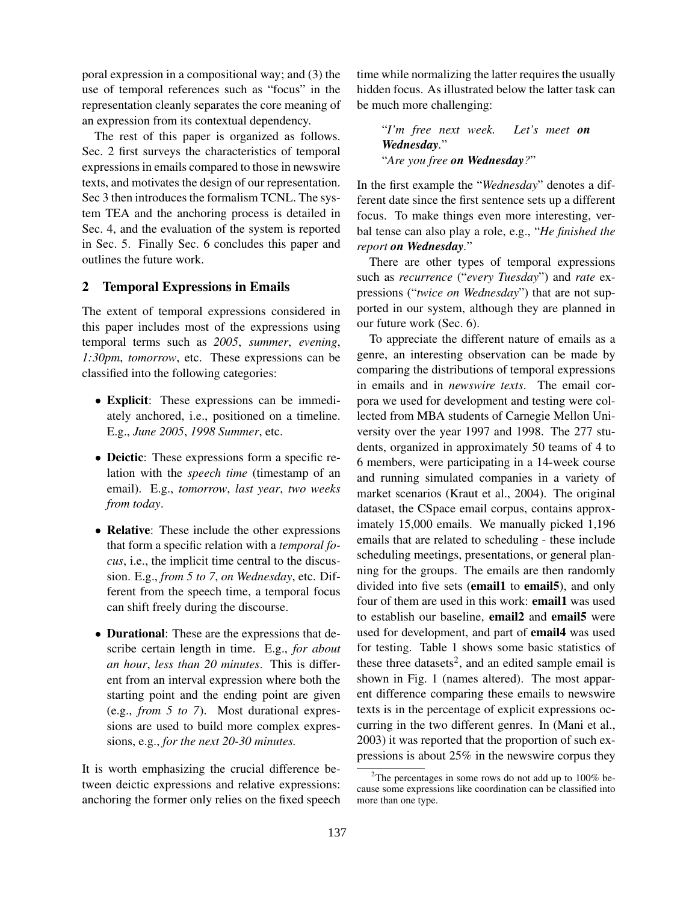poral expression in a compositional way; and (3) the use of temporal references such as "focus" in the representation cleanly separates the core meaning of an expression from its contextual dependency.

The rest of this paper is organized as follows. Sec. 2 first surveys the characteristics of temporal expressions in emails compared to those in newswire texts, and motivates the design of our representation. Sec 3 then introduces the formalism TCNL. The system TEA and the anchoring process is detailed in Sec. 4, and the evaluation of the system is reported in Sec. 5. Finally Sec. 6 concludes this paper and outlines the future work.

#### 2 Temporal Expressions in Emails

The extent of temporal expressions considered in this paper includes most of the expressions using temporal terms such as *2005*, *summer*, *evening*, *1:30pm*, *tomorrow*, etc. These expressions can be classified into the following categories:

- Explicit: These expressions can be immediately anchored, i.e., positioned on a timeline. E.g., *June 2005*, *1998 Summer*, etc.
- Deictic: These expressions form a specific relation with the *speech time* (timestamp of an email). E.g., *tomorrow*, *last year*, *two weeks from today*.
- Relative: These include the other expressions that form a specific relation with a *temporal focus*, i.e., the implicit time central to the discussion. E.g., *from 5 to 7*, *on Wednesday*, etc. Different from the speech time, a temporal focus can shift freely during the discourse.
- Durational: These are the expressions that describe certain length in time. E.g., *for about an hour*, *less than 20 minutes*. This is different from an interval expression where both the starting point and the ending point are given (e.g., *from 5 to 7*). Most durational expressions are used to build more complex expressions, e.g., *for the next 20-30 minutes.*

It is worth emphasizing the crucial difference between deictic expressions and relative expressions: anchoring the former only relies on the fixed speech time while normalizing the latter requires the usually hidden focus. As illustrated below the latter task can be much more challenging:

"*I'm free next week. Let's meet on Wednesday.*" "*Are you free on Wednesday?*"

In the first example the "*Wednesday*" denotes a different date since the first sentence sets up a different focus. To make things even more interesting, verbal tense can also play a role, e.g., "*He finished the report on Wednesday.*"

There are other types of temporal expressions such as *recurrence* ("*every Tuesday*") and *rate* expressions ("*twice on Wednesday*") that are not supported in our system, although they are planned in our future work (Sec. 6).

To appreciate the different nature of emails as a genre, an interesting observation can be made by comparing the distributions of temporal expressions in emails and in *newswire texts*. The email corpora we used for development and testing were collected from MBA students of Carnegie Mellon University over the year 1997 and 1998. The 277 students, organized in approximately 50 teams of 4 to 6 members, were participating in a 14-week course and running simulated companies in a variety of market scenarios (Kraut et al., 2004). The original dataset, the CSpace email corpus, contains approximately 15,000 emails. We manually picked 1,196 emails that are related to scheduling - these include scheduling meetings, presentations, or general planning for the groups. The emails are then randomly divided into five sets (email1 to email5), and only four of them are used in this work: **email1** was used to establish our baseline, email2 and email5 were used for development, and part of email4 was used for testing. Table 1 shows some basic statistics of these three datasets<sup>2</sup>, and an edited sample email is shown in Fig. 1 (names altered). The most apparent difference comparing these emails to newswire texts is in the percentage of explicit expressions occurring in the two different genres. In (Mani et al., 2003) it was reported that the proportion of such expressions is about 25% in the newswire corpus they

<sup>&</sup>lt;sup>2</sup>The percentages in some rows do not add up to  $100\%$  because some expressions like coordination can be classified into more than one type.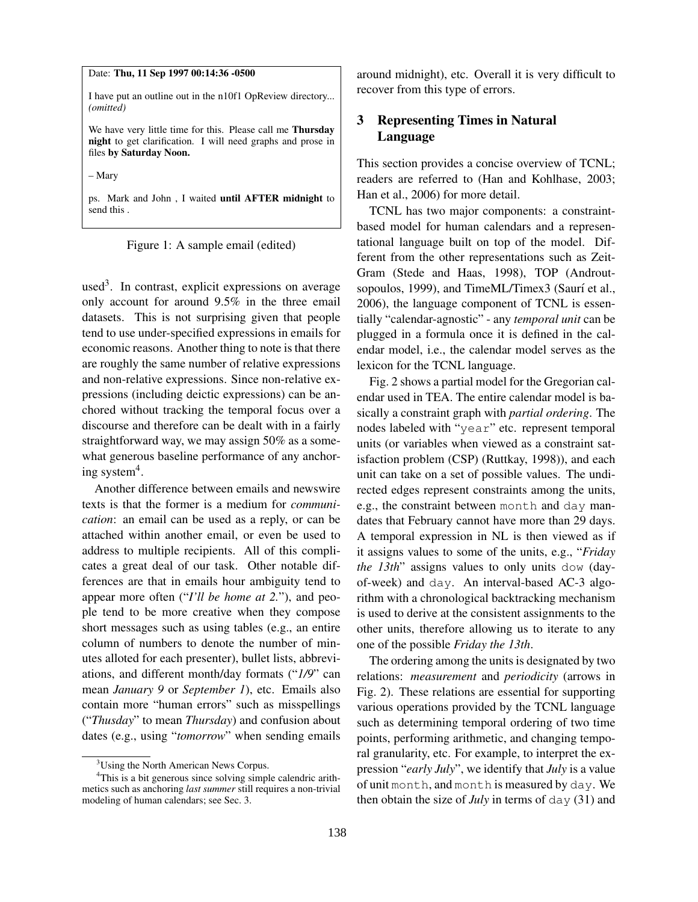#### Date: Thu, 11 Sep 1997 00:14:36 -0500

I have put an outline out in the n10f1 OpReview directory... *(omitted)*

We have very little time for this. Please call me Thursday night to get clarification. I will need graphs and prose in files by Saturday Noon.

– Mary

ps. Mark and John , I waited until AFTER midnight to send this .

Figure 1: A sample email (edited)

used<sup>3</sup>. In contrast, explicit expressions on average only account for around 9.5% in the three email datasets. This is not surprising given that people tend to use under-specified expressions in emails for economic reasons. Another thing to note is that there are roughly the same number of relative expressions and non-relative expressions. Since non-relative expressions (including deictic expressions) can be anchored without tracking the temporal focus over a discourse and therefore can be dealt with in a fairly straightforward way, we may assign 50% as a somewhat generous baseline performance of any anchoring system<sup>4</sup>.

Another difference between emails and newswire texts is that the former is a medium for *communication*: an email can be used as a reply, or can be attached within another email, or even be used to address to multiple recipients. All of this complicates a great deal of our task. Other notable differences are that in emails hour ambiguity tend to appear more often ("*I'll be home at 2.*"), and people tend to be more creative when they compose short messages such as using tables (e.g., an entire column of numbers to denote the number of minutes alloted for each presenter), bullet lists, abbreviations, and different month/day formats ("*1/9*" can mean *January 9* or *September 1*), etc. Emails also contain more "human errors" such as misspellings ("*Thusday*" to mean *Thursday*) and confusion about dates (e.g., using "*tomorrow*" when sending emails around midnight), etc. Overall it is very difficult to recover from this type of errors.

# 3 Representing Times in Natural Language

This section provides a concise overview of TCNL; readers are referred to (Han and Kohlhase, 2003; Han et al., 2006) for more detail.

TCNL has two major components: a constraintbased model for human calendars and a representational language built on top of the model. Different from the other representations such as Zeit-Gram (Stede and Haas, 1998), TOP (Androutsopoulos, 1999), and TimeML/Timex3 (Saurí et al., 2006), the language component of TCNL is essentially "calendar-agnostic" - any *temporal unit* can be plugged in a formula once it is defined in the calendar model, i.e., the calendar model serves as the lexicon for the TCNL language.

Fig. 2 shows a partial model for the Gregorian calendar used in TEA. The entire calendar model is basically a constraint graph with *partial ordering*. The nodes labeled with "year" etc. represent temporal units (or variables when viewed as a constraint satisfaction problem (CSP) (Ruttkay, 1998)), and each unit can take on a set of possible values. The undirected edges represent constraints among the units, e.g., the constraint between month and day mandates that February cannot have more than 29 days. A temporal expression in NL is then viewed as if it assigns values to some of the units, e.g., "*Friday the 13th*" assigns values to only units dow (dayof-week) and day. An interval-based AC-3 algorithm with a chronological backtracking mechanism is used to derive at the consistent assignments to the other units, therefore allowing us to iterate to any one of the possible *Friday the 13th*.

The ordering among the units is designated by two relations: *measurement* and *periodicity* (arrows in Fig. 2). These relations are essential for supporting various operations provided by the TCNL language such as determining temporal ordering of two time points, performing arithmetic, and changing temporal granularity, etc. For example, to interpret the expression "*early July*", we identify that *July* is a value of unit month, and month is measured by day. We then obtain the size of *July* in terms of day (31) and

<sup>&</sup>lt;sup>3</sup>Using the North American News Corpus.

<sup>&</sup>lt;sup>4</sup>This is a bit generous since solving simple calendric arithmetics such as anchoring *last summer* still requires a non-trivial modeling of human calendars; see Sec. 3.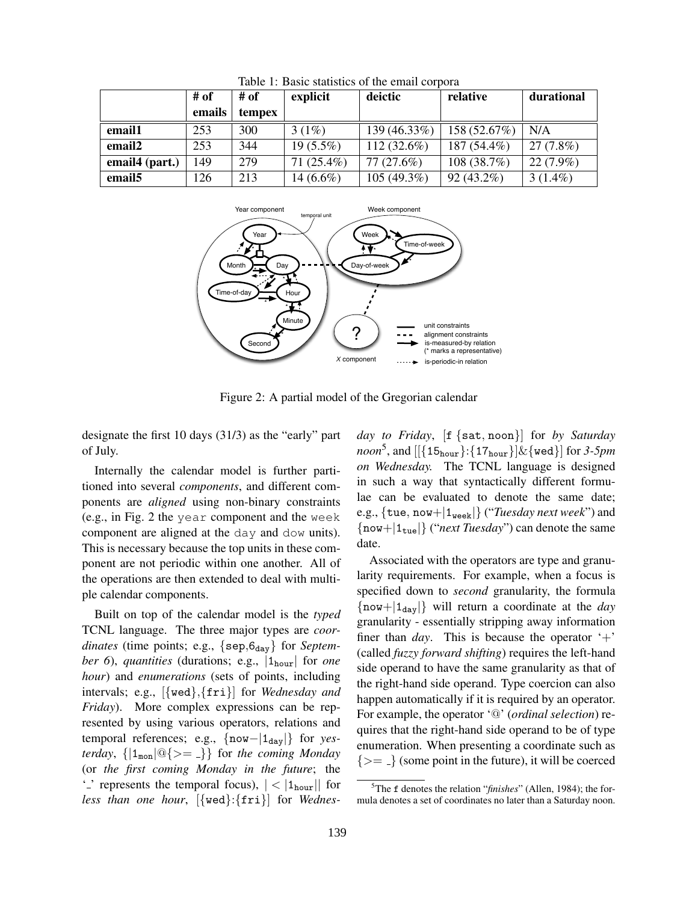|                    | # of   | # of   | explicit     | deictic       | relative     | durational  |
|--------------------|--------|--------|--------------|---------------|--------------|-------------|
|                    | emails | tempex |              |               |              |             |
| email1             | 253    | 300    | $3(1\%)$     | 139 (46.33%)  | 158 (52.67%) | N/A         |
| email <sub>2</sub> | 253    | 344    | $19(5.5\%)$  | $112(32.6\%)$ | 187 (54.4%)  | 27(7.8%)    |
| email4 (part.)     | 149    | 279    | $71(25.4\%)$ | 77 (27.6%)    | 108(38.7%)   | $22(7.9\%)$ |
| email <sub>5</sub> | 126    | 213    | 14 $(6.6\%)$ | 105 (49.3%)   | $92(43.2\%)$ | $3(1.4\%)$  |

Table 1: Basic statistics of the email corpora



Figure 2: A partial model of the Gregorian calendar

designate the first 10 days (31/3) as the "early" part of July.

Internally the calendar model is further partitioned into several *components*, and different components are *aligned* using non-binary constraints (e.g., in Fig. 2 the year component and the week component are aligned at the day and dow units). This is necessary because the top units in these component are not periodic within one another. All of the operations are then extended to deal with multiple calendar components.

Built on top of the calendar model is the *typed* TCNL language. The three major types are *coor*dinates (time points; e.g., {sep, 6<sub>day</sub>} for *September 6*), *quantities* (durations; e.g., |1hour| for *one hour*) and *enumerations* (sets of points, including intervals; e.g., [{wed}*,*{fri}] for *Wednesday and Friday*). More complex expressions can be represented by using various operators, relations and temporal references; e.g., {now−|1day|} for *yesterday*,  $\{|\mathbf{1}_{\text{mon}}| \, \textcircled{e}\} \}$  for *the coming Monday* (or *the first coming Monday in the future*; the  $\sim$  ' represents the temporal focus),  $|$  <  $|1_{\text{hour}}|$  for *less than one hour*, [{wed}:{fri}] for *Wednes-* *day to Friday*, [f {sat*,* noon}] for *by Saturday noon*<sup>5</sup>, and  $[[{15_{\text{hour}}}:{17_{\text{hour}}}]$   $\&$  {wed}] for *3-5pm on Wednesday.* The TCNL language is designed in such a way that syntactically different formulae can be evaluated to denote the same date; e.g., {tue*,* now+|1week|} ("*Tuesday next week*") and {now+|1tue|} ("*next Tuesday*") can denote the same date.

Associated with the operators are type and granularity requirements. For example, when a focus is specified down to *second* granularity, the formula  $\{now+|1_{day}|\}$  will return a coordinate at the *day* granularity - essentially stripping away information finer than *day*. This is because the operator  $+$ (called *fuzzy forward shifting*) requires the left-hand side operand to have the same granularity as that of the right-hand side operand. Type coercion can also happen automatically if it is required by an operator. For example, the operator '@' (*ordinal selection*) requires that the right-hand side operand to be of type enumeration. When presenting a coordinate such as  $\{\geq=\_\}$  (some point in the future), it will be coerced

<sup>5</sup> The f denotes the relation "*finishes*" (Allen, 1984); the formula denotes a set of coordinates no later than a Saturday noon.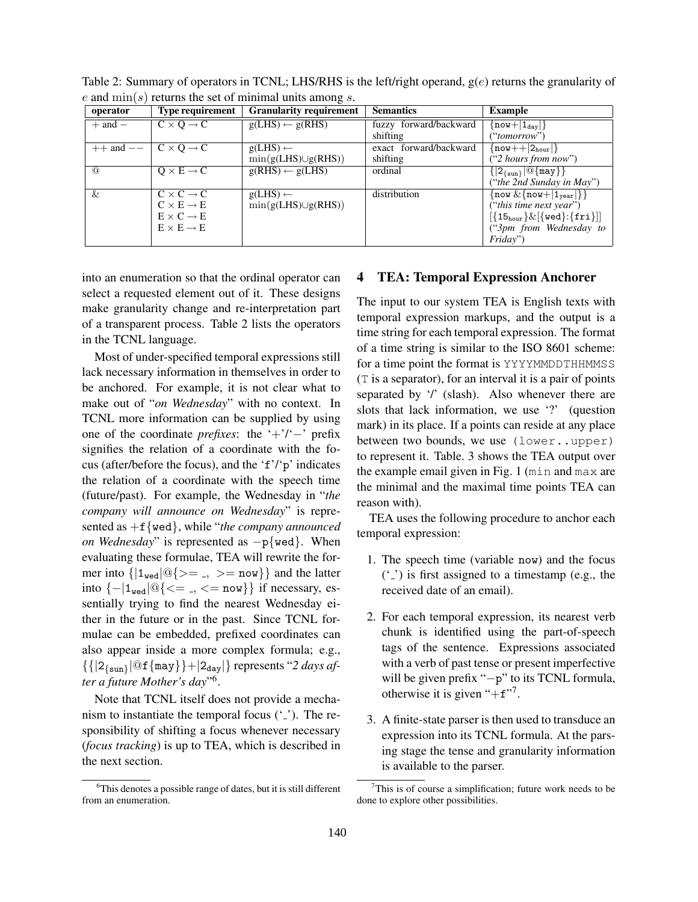| operator      | <b>Type requirement</b>    | <b>Granularity requirement</b> | <b>Semantics</b>       | <b>Example</b>                                           |
|---------------|----------------------------|--------------------------------|------------------------|----------------------------------------------------------|
| $+$ and $-$   | $C \times O \rightarrow C$ | $g(LHS) \leftarrow g(RHS)$     | fuzzy forward/backward | $\{\texttt{now} +  \mathbf{1}_{\texttt{day}} \}$         |
|               |                            |                                | shifting               | ("tomorrow")                                             |
| $++$ and $--$ | $C \times O \rightarrow C$ | $g(LHS) \leftarrow$            | exact forward/backward | $\{now++ 2_{hour} \}$                                    |
|               |                            | $\min(g(LHS) \cup g(RHS))$     | shifting               | ("2 hours from now")                                     |
| $\omega$      | $Q \times E \rightarrow C$ | $g(RHS) \leftarrow g(LHS)$     | ordinal                | $\{ 2_{\{sun\}} @{\{\text{may}\}}\}$                     |
|               |                            |                                |                        | ("the 2nd Sunday in May")                                |
| &             | $C \times C \rightarrow C$ | $g(LHS) \leftarrow$            | distribution           | $\{\text{now } \& \{\text{now+}   1_{\text{year}}\}\}\$  |
|               | $C \times E \rightarrow E$ | $\min(g(LHS) \cup g(RHS))$     |                        | ("this time next year")                                  |
|               | $E \times C \rightarrow E$ |                                |                        | $[{15_{\text{hour}}}\&[{ \text{red} }]:{ \text{fri} }]]$ |
|               | $E \times E \rightarrow E$ |                                |                        | ("3pm from Wednesday to                                  |
|               |                            |                                |                        | Friday")                                                 |

Table 2: Summary of operators in TCNL; LHS/RHS is the left/right operand, g(*e*) returns the granularity of *e* and min(*s*) returns the set of minimal units among *s*.

into an enumeration so that the ordinal operator can select a requested element out of it. These designs make granularity change and re-interpretation part of a transparent process. Table 2 lists the operators in the TCNL language.

Most of under-specified temporal expressions still lack necessary information in themselves in order to be anchored. For example, it is not clear what to make out of "*on Wednesday*" with no context. In TCNL more information can be supplied by using one of the coordinate *prefixes*: the '+'/'−' prefix signifies the relation of a coordinate with the focus (after/before the focus), and the 'f'/'p' indicates the relation of a coordinate with the speech time (future/past). For example, the Wednesday in "*the company will announce on Wednesday*" is represented as +f{wed}, while "*the company announced on Wednesday*" is represented as  $-p$ {wed}. When evaluating these formulae, TEA will rewrite the former into  $\{|1_{\text{wed}}|@\}>=$ ,  $>=$  now}} and the latter into {−|1wed|@{*<*= *, <*= now}} if necessary, essentially trying to find the nearest Wednesday either in the future or in the past. Since TCNL formulae can be embedded, prefixed coordinates can also appear inside a more complex formula; e.g.,  $\{ \{|2_{\{\text{sun}\}}|@f\{\text{may}\}\} + |2_{\text{day}}|\}$  represents "2 *days after a future Mother's day*"6.

Note that TCNL itself does not provide a mechanism to instantiate the temporal focus  $(\cdot_{-})$ . The responsibility of shifting a focus whenever necessary (*focus tracking*) is up to TEA, which is described in the next section.

#### 4 TEA: Temporal Expression Anchorer

The input to our system TEA is English texts with temporal expression markups, and the output is a time string for each temporal expression. The format of a time string is similar to the ISO 8601 scheme: for a time point the format is YYYYMMDDTHHMMSS (T is a separator), for an interval it is a pair of points separated by '/' (slash). Also whenever there are slots that lack information, we use '?' (question mark) in its place. If a points can reside at any place between two bounds, we use (lower..upper) to represent it. Table. 3 shows the TEA output over the example email given in Fig. 1 (min and max are the minimal and the maximal time points TEA can reason with).

TEA uses the following procedure to anchor each temporal expression:

- 1. The speech time (variable now) and the focus  $('')$  is first assigned to a timestamp (e.g., the received date of an email).
- 2. For each temporal expression, its nearest verb chunk is identified using the part-of-speech tags of the sentence. Expressions associated with a verb of past tense or present imperfective will be given prefix "−p" to its TCNL formula, otherwise it is given " $+f$ ".
- 3. A finite-state parser is then used to transduce an expression into its TCNL formula. At the parsing stage the tense and granularity information is available to the parser.

<sup>6</sup> This denotes a possible range of dates, but it is still different from an enumeration.

 $7$ This is of course a simplification; future work needs to be done to explore other possibilities.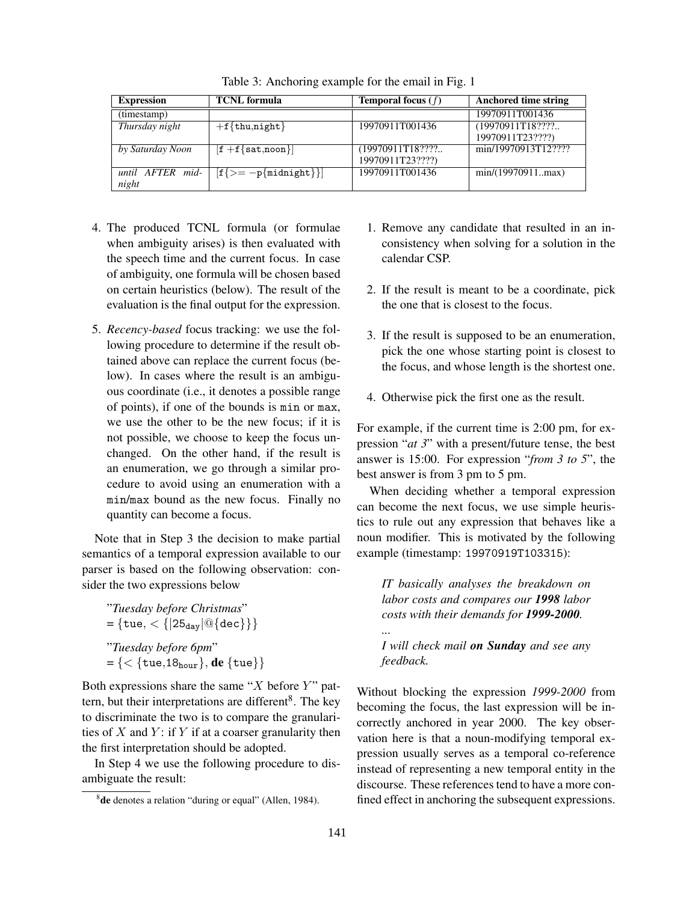| <b>Expression</b> | <b>TCNL</b> formula                                         | <b>Temporal focus</b> $(f)$ | <b>Anchored time string</b> |
|-------------------|-------------------------------------------------------------|-----------------------------|-----------------------------|
| (timestamp)       |                                                             |                             | 19970911T001436             |
| Thursday night    | $+f{thu,night}$                                             | 19970911T001436             | (19970911T18????            |
|                   |                                                             |                             | 19970911T23????)            |
| by Saturday Noon  | $\mathbf{f} + \mathbf{f} \{ \texttt{sat}, \texttt{noon} \}$ | (19970911T18????            | min/19970913T12????         |
|                   |                                                             | 19970911T23????)            |                             |
| until AFTER mid-  | $ f\{\geq -p\{\text{midnight}\}\} $                         | 19970911T001436             | min/(19970911max)           |
| night             |                                                             |                             |                             |

Table 3: Anchoring example for the email in Fig. 1

- 4. The produced TCNL formula (or formulae when ambiguity arises) is then evaluated with the speech time and the current focus. In case of ambiguity, one formula will be chosen based on certain heuristics (below). The result of the evaluation is the final output for the expression.
- 5. *Recency-based* focus tracking: we use the following procedure to determine if the result obtained above can replace the current focus (below). In cases where the result is an ambiguous coordinate (i.e., it denotes a possible range of points), if one of the bounds is min or max, we use the other to be the new focus; if it is not possible, we choose to keep the focus unchanged. On the other hand, if the result is an enumeration, we go through a similar procedure to avoid using an enumeration with a min/max bound as the new focus. Finally no quantity can become a focus.

Note that in Step 3 the decision to make partial semantics of a temporal expression available to our parser is based on the following observation: consider the two expressions below

"*Tuesday before Christmas*"  $= {\text{true}, < {\text{25}_{day}}|@{\text{dec}}{\text{}}\}$ "*Tuesday before 6pm*" = {*<* {tue*,*18hour}*,* de {tue}}

Both expressions share the same "*X* before *Y* " pattern, but their interpretations are different<sup>8</sup>. The key to discriminate the two is to compare the granularities of *X* and *Y* : if *Y* if at a coarser granularity then the first interpretation should be adopted.

In Step 4 we use the following procedure to disambiguate the result:

- 1. Remove any candidate that resulted in an inconsistency when solving for a solution in the calendar CSP.
- 2. If the result is meant to be a coordinate, pick the one that is closest to the focus.
- 3. If the result is supposed to be an enumeration, pick the one whose starting point is closest to the focus, and whose length is the shortest one.
- 4. Otherwise pick the first one as the result.

For example, if the current time is 2:00 pm, for expression "*at 3*" with a present/future tense, the best answer is 15:00. For expression "*from 3 to 5*", the best answer is from 3 pm to 5 pm.

When deciding whether a temporal expression can become the next focus, we use simple heuristics to rule out any expression that behaves like a noun modifier. This is motivated by the following example (timestamp: 19970919T103315):

*IT basically analyses the breakdown on labor costs and compares our 1998 labor costs with their demands for 1999-2000.*

*I will check mail on Sunday and see any feedback.*

Without blocking the expression *1999-2000* from becoming the focus, the last expression will be incorrectly anchored in year 2000. The key observation here is that a noun-modifying temporal expression usually serves as a temporal co-reference instead of representing a new temporal entity in the discourse. These references tend to have a more confined effect in anchoring the subsequent expressions.

*...*

<sup>&</sup>lt;sup>8</sup>de denotes a relation "during or equal" (Allen, 1984).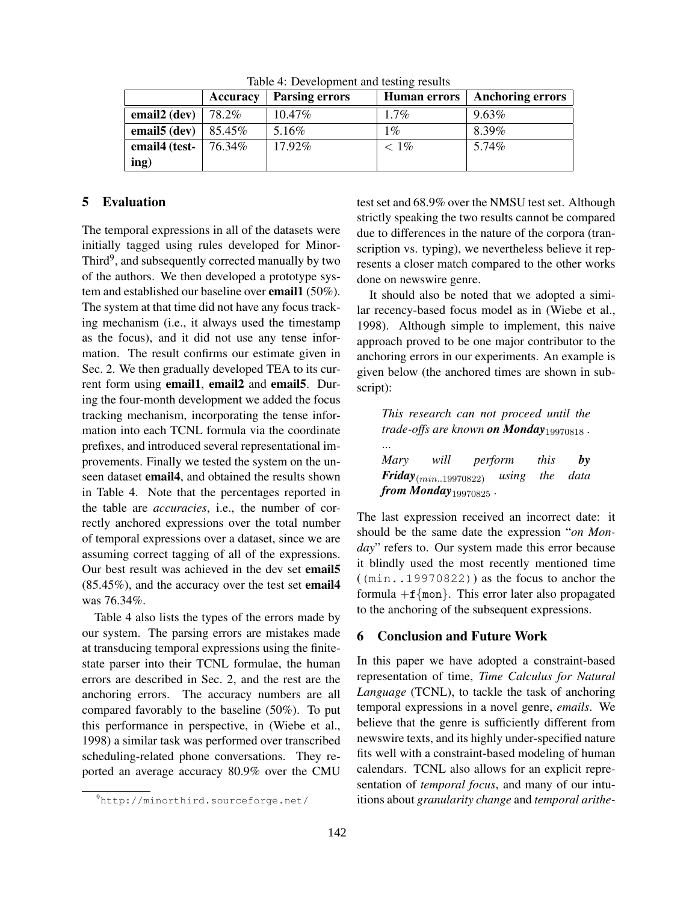|                          | Accuracy | <b>Parsing errors</b> | <b>Human errors</b> | <b>Anchoring errors</b> |
|--------------------------|----------|-----------------------|---------------------|-------------------------|
| email $2$ (dev)          | 78.2%    | $10.47\%$             | $1.7\%$             | $9.63\%$                |
| email <sub>5</sub> (dev) | 85.45%   | 5.16%                 | $1\%$               | 8.39%                   |
| email4 (test-            | 76.34%   | 17.92%                | $< 1\%$             | 5.74%                   |
| ing)                     |          |                       |                     |                         |

Table 4: Development and testing results

## 5 Evaluation

The temporal expressions in all of the datasets were initially tagged using rules developed for Minor-Third<sup>9</sup>, and subsequently corrected manually by two of the authors. We then developed a prototype system and established our baseline over **email1** (50%). The system at that time did not have any focus tracking mechanism (i.e., it always used the timestamp as the focus), and it did not use any tense information. The result confirms our estimate given in Sec. 2. We then gradually developed TEA to its current form using email1, email2 and email5. During the four-month development we added the focus tracking mechanism, incorporating the tense information into each TCNL formula via the coordinate prefixes, and introduced several representational improvements. Finally we tested the system on the unseen dataset email4, and obtained the results shown in Table 4. Note that the percentages reported in the table are *accuracies*, i.e., the number of correctly anchored expressions over the total number of temporal expressions over a dataset, since we are assuming correct tagging of all of the expressions. Our best result was achieved in the dev set email5 (85.45%), and the accuracy over the test set email4 was 76.34%.

Table 4 also lists the types of the errors made by our system. The parsing errors are mistakes made at transducing temporal expressions using the finitestate parser into their TCNL formulae, the human errors are described in Sec. 2, and the rest are the anchoring errors. The accuracy numbers are all compared favorably to the baseline (50%). To put this performance in perspective, in (Wiebe et al., 1998) a similar task was performed over transcribed scheduling-related phone conversations. They reported an average accuracy 80.9% over the CMU

test set and 68.9% over the NMSU test set. Although strictly speaking the two results cannot be compared due to differences in the nature of the corpora (transcription vs. typing), we nevertheless believe it represents a closer match compared to the other works done on newswire genre.

It should also be noted that we adopted a similar recency-based focus model as in (Wiebe et al., 1998). Although simple to implement, this naive approach proved to be one major contributor to the anchoring errors in our experiments. An example is given below (the anchored times are shown in subscript):

*This research can not proceed until the trade-offs are known on Monday*<sup>19970818</sup> *.* ... *Mary will perform this by Friday*(*min..*19970822) *using the data from Monday*<sup>19970825</sup> *.*

The last expression received an incorrect date: it should be the same date the expression "*on Monday*" refers to. Our system made this error because it blindly used the most recently mentioned time ((min..19970822)) as the focus to anchor the formula  $+f$ {mon}. This error later also propagated to the anchoring of the subsequent expressions.

#### 6 Conclusion and Future Work

In this paper we have adopted a constraint-based representation of time, *Time Calculus for Natural Language* (TCNL), to tackle the task of anchoring temporal expressions in a novel genre, *emails*. We believe that the genre is sufficiently different from newswire texts, and its highly under-specified nature fits well with a constraint-based modeling of human calendars. TCNL also allows for an explicit representation of *temporal focus*, and many of our intuitions about *granularity change* and *temporal arithe-*

<sup>9</sup> http://minorthird.sourceforge.net/